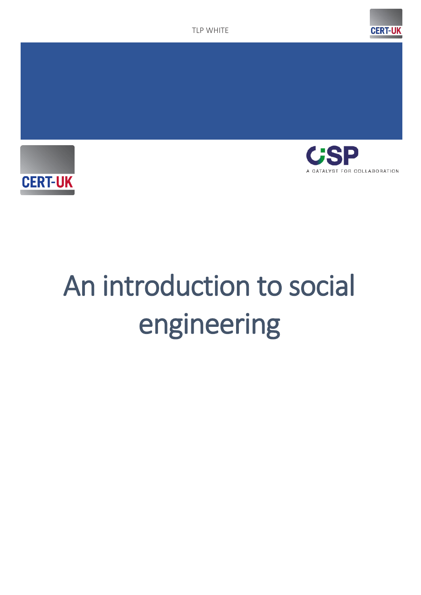







# An introduction to social engineering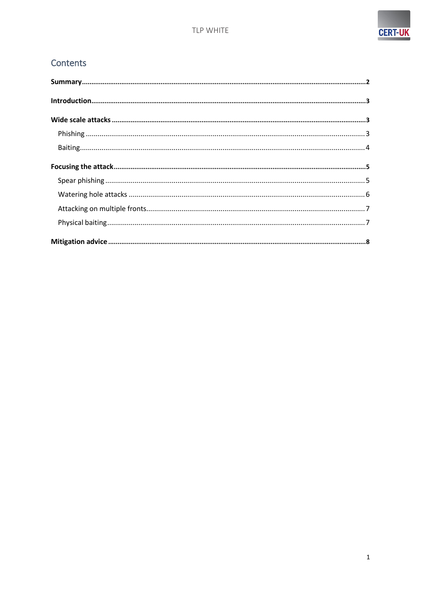

## Contents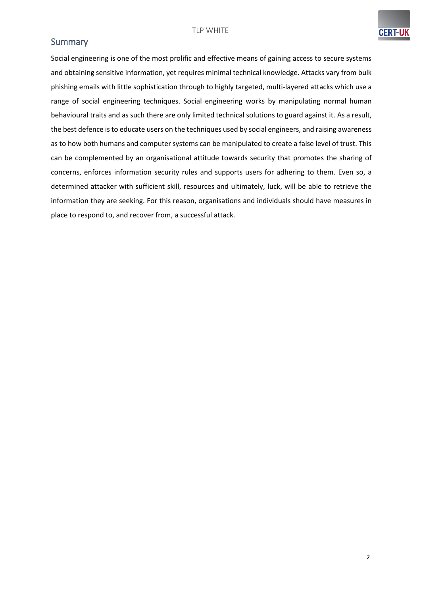

## <span id="page-2-0"></span>**Summary**

Social engineering is one of the most prolific and effective means of gaining access to secure systems and obtaining sensitive information, yet requires minimal technical knowledge. Attacks vary from bulk phishing emails with little sophistication through to highly targeted, multi-layered attacks which use a range of social engineering techniques. Social engineering works by manipulating normal human behavioural traits and as such there are only limited technical solutions to guard against it. As a result, the best defence is to educate users on the techniques used by social engineers, and raising awareness as to how both humans and computer systems can be manipulated to create a false level of trust. This can be complemented by an organisational attitude towards security that promotes the sharing of concerns, enforces information security rules and supports users for adhering to them. Even so, a determined attacker with sufficient skill, resources and ultimately, luck, will be able to retrieve the information they are seeking. For this reason, organisations and individuals should have measures in place to respond to, and recover from, a successful attack.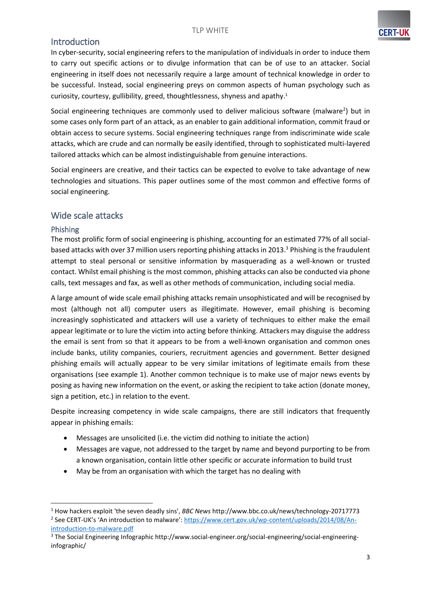## <span id="page-3-0"></span>**Introduction**

In cyber-security, social engineering refers to the manipulation of individuals in order to induce them to carry out specific actions or to divulge information that can be of use to an attacker. Social engineering in itself does not necessarily require a large amount of technical knowledge in order to be successful. Instead, social engineering preys on common aspects of human psychology such as curiosity, courtesy, gullibility, greed, thoughtlessness, shyness and apathy.<sup>1</sup>

Social engineering techniques are commonly used to deliver malicious software (malware<sup>2</sup>) but in some cases only form part of an attack, as an enabler to gain additional information, commit fraud or obtain access to secure systems. Social engineering techniques range from indiscriminate wide scale attacks, which are crude and can normally be easily identified, through to sophisticated multi-layered tailored attacks which can be almost indistinguishable from genuine interactions.

Social engineers are creative, and their tactics can be expected to evolve to take advantage of new technologies and situations. This paper outlines some of the most common and effective forms of social engineering.

## <span id="page-3-1"></span>Wide scale attacks

### <span id="page-3-2"></span>Phishing

1

The most prolific form of social engineering is phishing, accounting for an estimated 77% of all socialbased attacks with over 37 million users reporting phishing attacks in 2013. <sup>3</sup> Phishing is the fraudulent attempt to steal personal or sensitive information by masquerading as a well-known or trusted contact. Whilst email phishing is the most common, phishing attacks can also be conducted via phone calls, text messages and fax, as well as other methods of communication, including social media.

A large amount of wide scale email phishing attacks remain unsophisticated and will be recognised by most (although not all) computer users as illegitimate. However, email phishing is becoming increasingly sophisticated and attackers will use a variety of techniques to either make the email appear legitimate or to lure the victim into acting before thinking. Attackers may disguise the address the email is sent from so that it appears to be from a well-known organisation and common ones include banks, utility companies, couriers, recruitment agencies and government. Better designed phishing emails will actually appear to be very similar imitations of legitimate emails from these organisations (see example 1). Another common technique is to make use of major news events by posing as having new information on the event, or asking the recipient to take action (donate money, sign a petition, etc.) in relation to the event.

Despite increasing competency in wide scale campaigns, there are still indicators that frequently appear in phishing emails:

- Messages are unsolicited (i.e. the victim did nothing to initiate the action)
- Messages are vague, not addressed to the target by name and beyond purporting to be from a known organisation, contain little other specific or accurate information to build trust
- May be from an organisation with which the target has no dealing with

<sup>1</sup> How hackers exploit 'the seven deadly sins', *BBC News* http://www.bbc.co.uk/news/technology-20717773 <sup>2</sup> See CERT-UK's 'An introduction to malware': [https://www.cert.gov.uk/wp-content/uploads/2014/08/An](https://www.cert.gov.uk/wp-content/uploads/2014/08/An-introduction-to-malware.pdf)[introduction-to-malware.pdf](https://www.cert.gov.uk/wp-content/uploads/2014/08/An-introduction-to-malware.pdf)

<sup>3</sup> The Social Engineering Infographic http://www.social-engineer.org/social-engineering/social-engineeringinfographic/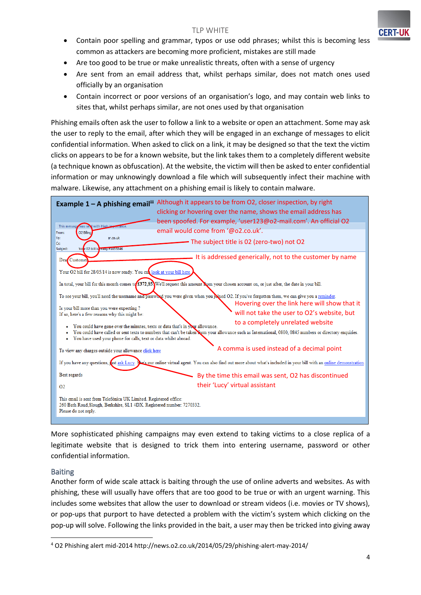#### TLP WHITE

- Contain poor spelling and grammar, typos or use odd phrases; whilst this is becoming less common as attackers are becoming more proficient, mistakes are still made
- Are too good to be true or make unrealistic threats, often with a sense of urgency
- Are sent from an email address that, whilst perhaps similar, does not match ones used officially by an organisation
- Contain incorrect or poor versions of an organisation's logo, and may contain web links to sites that, whilst perhaps similar, are not ones used by that organisation

Phishing emails often ask the user to follow a link to a website or open an attachment. Some may ask the user to reply to the email, after which they will be engaged in an exchange of messages to elicit confidential information. When asked to click on a link, it may be designed so that the text the victim clicks on appears to be for a known website, but the link takes them to a completely different website (a technique known as obfuscation). At the website, the victim will then be asked to enter confidential information or may unknowingly download a file which will subsequently infect their machine with malware. Likewise, any attachment on a phishing email is likely to contain malware. <sup>4</sup>



More sophisticated phishing campaigns may even extend to taking victims to a close replica of a legitimate website that is designed to trick them into entering username, password or other confidential information.

## <span id="page-4-0"></span>Baiting

1

Another form of wide scale attack is baiting through the use of online adverts and websites. As with phishing, these will usually have offers that are too good to be true or with an urgent warning. This includes some websites that allow the user to download or stream videos (i.e. movies or TV shows), or pop-ups that purport to have detected a problem with the victim's system which clicking on the pop-up will solve. Following the links provided in the bait, a user may then be tricked into giving away

<sup>4</sup> O2 Phishing alert mid-2014 http://news.o2.co.uk/2014/05/29/phishing-alert-may-2014/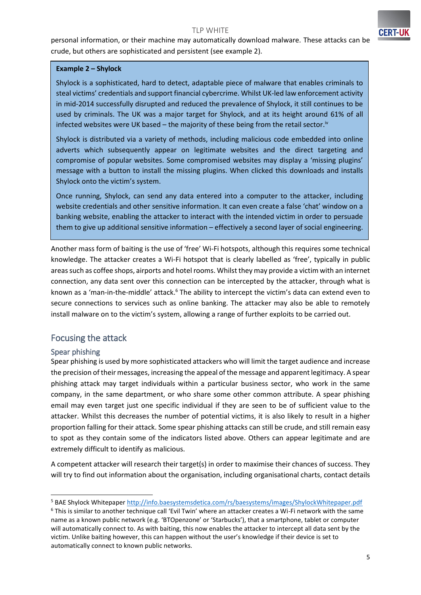## **CERT-U**

#### **TIP WHITE**

personal information, or their machine may automatically download malware. These attacks can be crude, but others are sophisticated and persistent (see example 2). <sup>5</sup>

#### **Example 2 – Shylock**

Shylock is a sophisticated, hard to detect, adaptable piece of malware that enables criminals to steal victims' credentials and support financial cybercrime. Whilst UK-led law enforcement activity in mid-2014 successfully disrupted and reduced the prevalence of Shylock, it still continues to be used by criminals. The UK was a major target for Shylock, and at its height around 61% of all infected websites were UK based – the majority of these being from the retail sector.<sup>iv</sup>

Shylock is distributed via a variety of methods, including malicious code embedded into online adverts which subsequently appear on legitimate websites and the direct targeting and compromise of popular websites. Some compromised websites may display a 'missing plugins' message with a button to install the missing plugins. When clicked this downloads and installs Shylock onto the victim's system.

Once running, Shylock, can send any data entered into a computer to the attacker, including website credentials and other sensitive information. It can even create a false 'chat' window on a banking website, enabling the attacker to interact with the intended victim in order to persuade them to give up additional sensitive information – effectively a second layer of social engineering.

Another mass form of baiting is the use of 'free' Wi-Fi hotspots, although this requires some technical knowledge. The attacker creates a Wi-Fi hotspot that is clearly labelled as 'free', typically in public areas such as coffee shops, airports and hotel rooms. Whilst they may provide a victim with an internet connection, any data sent over this connection can be intercepted by the attacker, through what is known as a 'man-in-the-middle' attack.<sup>6</sup> The ability to intercept the victim's data can extend even to secure connections to services such as online banking. The attacker may also be able to remotely install malware on to the victim's system, allowing a range of further exploits to be carried out.

## <span id="page-5-0"></span>Focusing the attack

## <span id="page-5-1"></span>Spear phishing

1

Spear phishing is used by more sophisticated attackers who will limit the target audience and increase the precision of their messages, increasing the appeal of the message and apparent legitimacy. A spear phishing attack may target individuals within a particular business sector, who work in the same company, in the same department, or who share some other common attribute. A spear phishing email may even target just one specific individual if they are seen to be of sufficient value to the attacker. Whilst this decreases the number of potential victims, it is also likely to result in a higher proportion falling for their attack. Some spear phishing attacks can still be crude, and still remain easy to spot as they contain some of the indicators listed above. Others can appear legitimate and are extremely difficult to identify as malicious.

A competent attacker will research their target(s) in order to maximise their chances of success. They will try to find out information about the organisation, including organisational charts, contact details

<sup>5</sup> BAE Shylock Whitepape[r http://info.baesystemsdetica.com/rs/baesystems/images/ShylockWhitepaper.pdf](http://info.baesystemsdetica.com/rs/baesystems/images/ShylockWhitepaper.pdf)

<sup>6</sup> This is similar to another technique call 'Evil Twin' where an attacker creates a Wi-Fi network with the same name as a known public network (e.g. 'BTOpenzone' or 'Starbucks'), that a smartphone, tablet or computer will automatically connect to. As with baiting, this now enables the attacker to intercept all data sent by the victim. Unlike baiting however, this can happen without the user's knowledge if their device is set to automatically connect to known public networks.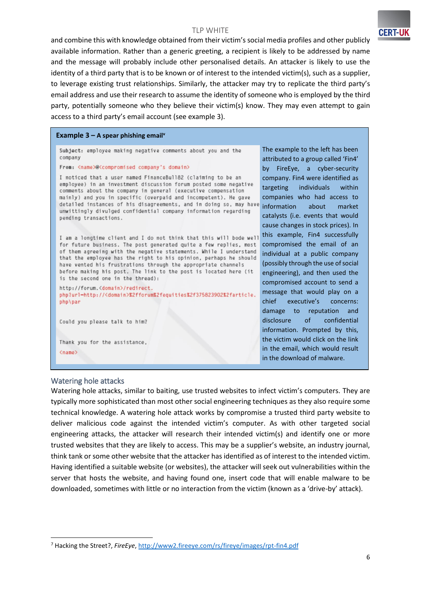#### TLP WHITE

and combine this with knowledge obtained from their victim's social media profiles and other publicly available information. Rather than a generic greeting, a recipient is likely to be addressed by name and the message will probably include other personalised details. An attacker is likely to use the identity of a third party that is to be known or of interest to the intended victim(s), such as a supplier, to leverage existing trust relationships. Similarly, the attacker may try to replicate the third party's email address and use their research to assume the identity of someone who is employed by the third party, potentially someone who they believe their victim(s) know. They may even attempt to gain access to a third party's email account (see example 3). <sup>7</sup>

#### **Example 3 – A spear phishing email<sup>v</sup>**

Subject: employee making negative comments about you and the company

From: <name>@<compromised company's domain>

I noticed that a user named FinanceBull82 (claiming to be an employee) in an investment discussion forum posted some negative comments about the company in general (executive compensation mainly) and you in specific (overpaid and incompetent). He gave detailed instances of his disagreements, and in doing so, may have unwittingly divulged confidential company information regarding pending transactions.

I am a longtime client and I do not think that this will bode well for future business. The post generated quite a few replies, most of them agreeing with the negative statements. While I understand that the employee has the right to his opinion, perhaps he should have vented his frustrations through the appropriate channels before making his post. The link to the post is located here (it is the second one in the thread): http://forum.<domain>/redirect.

php?url-http://<domain>%2fforum%2fequities%2f375823902%2farticle. php\par

Could you please talk to him?

Thank you for the assistance, <name>

The example to the left has been attributed to a group called 'Fin4' by FireEye, a cyber-security company. Fin4 were identified as targeting individuals within companies who had access to information about market catalysts (i.e. events that would cause changes in stock prices). In this example, Fin4 successfully compromised the email of an individual at a public company (possibly through the use of social engineering), and then used the compromised account to send a message that would play on a chief executive's concerns: damage to reputation and disclosure of confidential information. Prompted by this, the victim would click on the link in the email, which would result in the download of malware.

**CERT-U** 

#### <span id="page-6-0"></span>Watering hole attacks

1

Watering hole attacks, similar to baiting, use trusted websites to infect victim's computers. They are typically more sophisticated than most other social engineering techniques as they also require some technical knowledge. A watering hole attack works by compromise a trusted third party website to deliver malicious code against the intended victim's computer. As with other targeted social engineering attacks, the attacker will research their intended victim(s) and identify one or more trusted websites that they are likely to access. This may be a supplier's website, an industry journal, think tank or some other website that the attacker has identified as of interest to the intended victim. Having identified a suitable website (or websites), the attacker will seek out vulnerabilities within the server that hosts the website, and having found one, insert code that will enable malware to be downloaded, sometimes with little or no interaction from the victim (known as a 'drive-by' attack).

<sup>7</sup> Hacking the Street?, *FireEye*,<http://www2.fireeye.com/rs/fireye/images/rpt-fin4.pdf>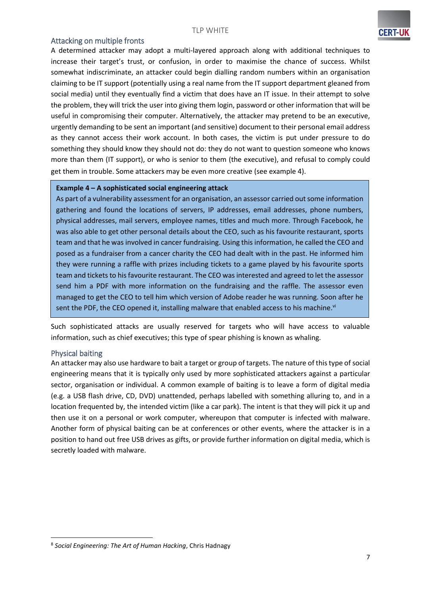## **CERT-U**

#### <span id="page-7-0"></span>Attacking on multiple fronts

A determined attacker may adopt a multi-layered approach along with additional techniques to increase their target's trust, or confusion, in order to maximise the chance of success. Whilst somewhat indiscriminate, an attacker could begin dialling random numbers within an organisation claiming to be IT support (potentially using a real name from the IT support department gleaned from social media) until they eventually find a victim that does have an IT issue. In their attempt to solve the problem, they will trick the user into giving them login, password or other information that will be useful in compromising their computer. Alternatively, the attacker may pretend to be an executive, urgently demanding to be sent an important (and sensitive) document to their personal email address as they cannot access their work account. In both cases, the victim is put under pressure to do something they should know they should not do: they do not want to question someone who knows more than them (IT support), or who is senior to them (the executive), and refusal to comply could get them in trouble. Some attackers may be even more creative (see example 4).

#### **Example 4 – A sophisticated social engineering attack**

As part of a vulnerability assessment for an organisation, an assessor carried out some information gathering and found the locations of servers, IP addresses, email addresses, phone numbers, physical addresses, mail servers, employee names, titles and much more. Through Facebook, he was also able to get other personal details about the CEO, such as his favourite restaurant, sports team and that he was involved in cancer fundraising. Using this information, he called the CEO and posed as a fundraiser from a cancer charity the CEO had dealt with in the past. He informed him they were running a raffle with prizes including tickets to a game played by his favourite sports team and tickets to his favourite restaurant. The CEO was interested and agreed to let the assessor send him a PDF with more information on the fundraising and the raffle. The assessor even managed to get the CEO to tell him which version of Adobe reader he was running. Soon after he sent the PDF, the CEO opened it, installing malware that enabled access to his machine.<sup>vi</sup>

Such sophisticated attacks are usually reserved for targets who will have access to valuable information, such as chief executives; this type of spear phishing is known as whaling.

#### <span id="page-7-1"></span>Physical baiting

1

An attacker may also use hardware to bait a target or group of targets. The nature of this type of social engineering means that it is typically only used by more sophisticated attackers against a particular sector, organisation or individual. A common example of baiting is to leave a form of digital media (e.g. a USB flash drive, CD, DVD) unattended, perhaps labelled with something alluring to, and in a location frequented by, the intended victim (like a car park). The intent is that they will pick it up and then use it on a personal or work computer, whereupon that computer is infected with malware. Another form of physical baiting can be at conferences or other events, where the attacker is in a position to hand out free USB drives as gifts, or provide further information on digital media, which is secretly loaded with malware.

<sup>8</sup> *Social Engineering: The Art of Human Hacking*, Chris Hadnagy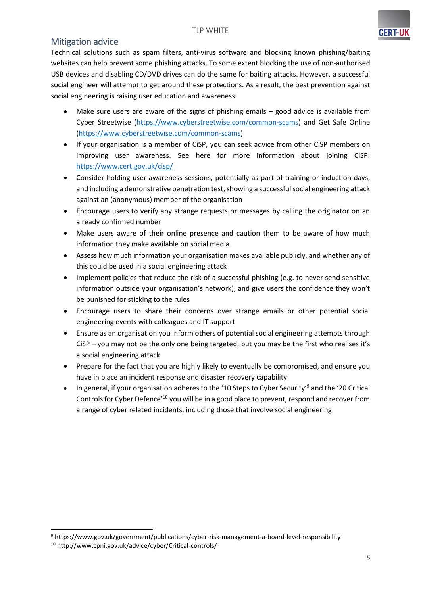

## <span id="page-8-0"></span>Mitigation advice

Technical solutions such as spam filters, anti-virus software and blocking known phishing/baiting websites can help prevent some phishing attacks. To some extent blocking the use of non-authorised USB devices and disabling CD/DVD drives can do the same for baiting attacks. However, a successful social engineer will attempt to get around these protections. As a result, the best prevention against social engineering is raising user education and awareness:

- Make sure users are aware of the signs of phishing emails good advice is available from Cyber Streetwise [\(https://www.cyberstreetwise.com/common-scams\)](https://www.cyberstreetwise.com/common-scams) and Get Safe Online [\(https://www.cyberstreetwise.com/common-scams\)](https://www.cyberstreetwise.com/common-scams)
- If your organisation is a member of CiSP, you can seek advice from other CiSP members on improving user awareness. See here for more information about joining CiSP: <https://www.cert.gov.uk/cisp/>
- Consider holding user awareness sessions, potentially as part of training or induction days, and including a demonstrative penetration test, showing a successful social engineering attack against an (anonymous) member of the organisation
- Encourage users to verify any strange requests or messages by calling the originator on an already confirmed number
- Make users aware of their online presence and caution them to be aware of how much information they make available on social media
- Assess how much information your organisation makes available publicly, and whether any of this could be used in a social engineering attack
- Implement policies that reduce the risk of a successful phishing (e.g. to never send sensitive information outside your organisation's network), and give users the confidence they won't be punished for sticking to the rules
- Encourage users to share their concerns over strange emails or other potential social engineering events with colleagues and IT support
- Ensure as an organisation you inform others of potential social engineering attempts through CiSP – you may not be the only one being targeted, but you may be the first who realises it's a social engineering attack
- Prepare for the fact that you are highly likely to eventually be compromised, and ensure you have in place an incident response and disaster recovery capability
- In general, if your organisation adheres to the '10 Steps to Cyber Security'<sup>9</sup> and the '20 Critical Controls for Cyber Defence<sup>'10</sup> you will be in a good place to prevent, respond and recover from a range of cyber related incidents, including those that involve social engineering

**.** 

<sup>9</sup> https://www.gov.uk/government/publications/cyber-risk-management-a-board-level-responsibility